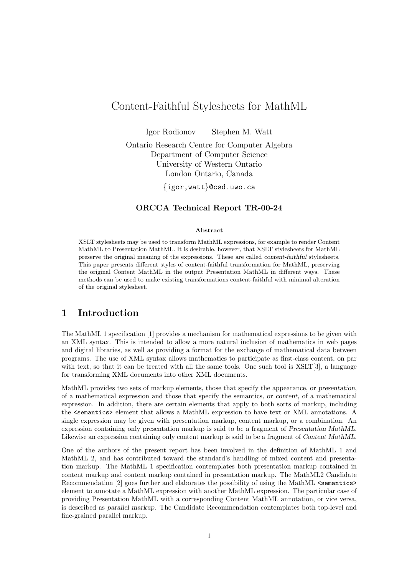# Content-Faithful Stylesheets for MathML

Igor Rodionov Stephen M. Watt Ontario Research Centre for Computer Algebra Department of Computer Science University of Western Ontario London Ontario, Canada

{igor,watt}@csd.uwo.ca

#### ORCCA Technical Report TR-00-24

#### Abstract

XSLT stylesheets may be used to transform MathML expressions, for example to render Content MathML to Presentation MathML. It is desirable, however, that XSLT stylesheets for MathML preserve the original meaning of the expressions. These are called content-faithful stylesheets. This paper presents different styles of content-faithful transformation for MathML, preserving the original Content MathML in the output Presentation MathML in different ways. These methods can be used to make existing transformations content-faithful with minimal alteration of the original stylesheet.

### 1 Introduction

The MathML 1 specification [1] provides a mechanism for mathematical expressions to be given with an XML syntax. This is intended to allow a more natural inclusion of mathematics in web pages and digital libraries, as well as providing a format for the exchange of mathematical data between programs. The use of XML syntax allows mathematics to participate as first-class content, on par with text, so that it can be treated with all the same tools. One such tool is XSLT[3], a language for transforming XML documents into other XML documents.

MathML provides two sets of markup elements, those that specify the appearance, or presentation, of a mathematical expression and those that specify the semantics, or content, of a mathematical expression. In addition, there are certain elements that apply to both sorts of markup, including the <semantics> element that allows a MathML expression to have text or XML annotations. A single expression may be given with presentation markup, content markup, or a combination. An expression containing only presentation markup is said to be a fragment of Presentation MathML. Likewise an expression containing only content markup is said to be a fragment of Content MathML.

One of the authors of the present report has been involved in the definition of MathML 1 and MathML 2, and has contributed toward the standard's handling of mixed content and presentation markup. The MathML 1 specification contemplates both presentation markup contained in content markup and content markup contained in presentation markup. The MathML2 Candidate Recommendation [2] goes further and elaborates the possibility of using the MathML <semantics> element to annotate a MathML expression with another MathML expression. The particular case of providing Presentation MathML with a corresponding Content MathML annotation, or vice versa, is described as parallel markup. The Candidate Recommendation contemplates both top-level and fine-grained parallel markup.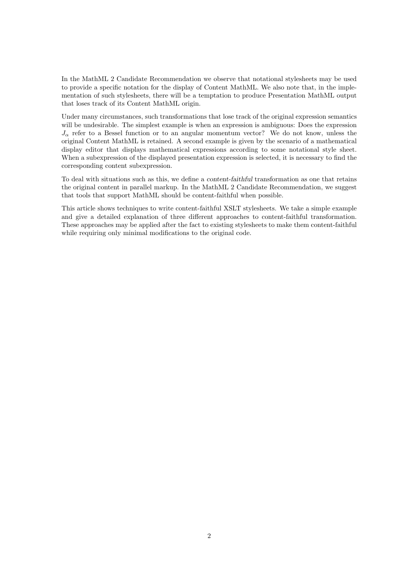In the MathML 2 Candidate Recommendation we observe that notational stylesheets may be used to provide a specific notation for the display of Content MathML. We also note that, in the implementation of such stylesheets, there will be a temptation to produce Presentation MathML output that loses track of its Content MathML origin.

Under many circumstances, such transformations that lose track of the original expression semantics will be undesirable. The simplest example is when an expression is ambiguous: Does the expression  $J_{\alpha}$  refer to a Bessel function or to an angular momentum vector? We do not know, unless the original Content MathML is retained. A second example is given by the scenario of a mathematical display editor that displays mathematical expressions according to some notational style sheet. When a subexpression of the displayed presentation expression is selected, it is necessary to find the corresponding content subexpression.

To deal with situations such as this, we define a content-faithful transformation as one that retains the original content in parallel markup. In the MathML 2 Candidate Recommendation, we suggest that tools that support MathML should be content-faithful when possible.

This article shows techniques to write content-faithful XSLT stylesheets. We take a simple example and give a detailed explanation of three different approaches to content-faithful transformation. These approaches may be applied after the fact to existing stylesheets to make them content-faithful while requiring only minimal modifications to the original code.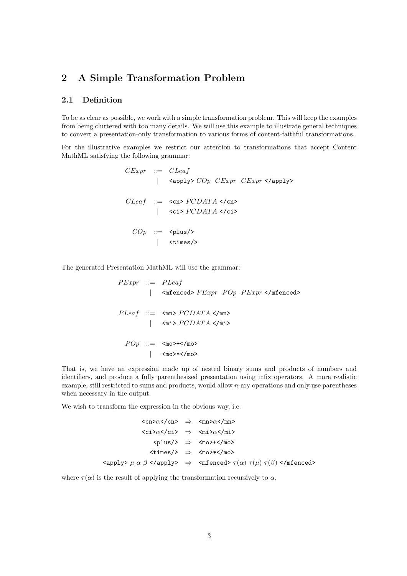## 2 A Simple Transformation Problem

#### 2.1 Definition

To be as clear as possible, we work with a simple transformation problem. This will keep the examples from being cluttered with too many details. We will use this example to illustrate general techniques to convert a presentation-only transformation to various forms of content-faithful transformations.

For the illustrative examples we restrict our attention to transformations that accept Content MathML satisfying the following grammar:

```
\n
$$
CExpr ::= Cleaf
$$
\n   | \n    $\langle \text{apply} \rangle \, \text{COp} \, \text{CExpr} \, \text{CExpr} \, \langle \text{apply} \rangle$ \n
```
\n\n $CEaf ::= \langle \text{cn} \rangle \, \text{PCDATA} \, \langle \text{cn} \rangle$ \n | \n  $\langle \text{ci} \rangle \, \text{PCDATA} \, \langle \text{ci} \rangle$ \n

\n\n $\text{COp} ::= \langle \text{plus} \rangle$ \n | \n  $\langle \text{times} \rangle$ \n

The generated Presentation MathML will use the grammar:

 $PExpr ::= PLeaf$ |  $\langle$  =  $\langle$  =  $\rangle$  +  $\langle$  =  $\langle$   $\rangle$  +  $\langle$   $\rangle$  =  $\langle$   $\rangle$  =  $\langle$   $\rangle$  =  $\langle$   $\rangle$  =  $\langle$   $\rangle$  =  $\langle$   $\rangle$  =  $\langle$   $\rangle$  =  $\langle$   $\rangle$  =  $\langle$   $\rangle$  =  $\langle$   $\rangle$  =  $\langle$   $\rangle$  =  $\langle$   $\rangle$  =  $\langle$   $\rangle$  =  $\langle$   $\rangle$  =  $\langle$   $\rangle$  =  $PLeaf ::=$  <mn>  $PCDATA$  </mn>  $|\quad$  <mi>  $PCDATA$  </mi>  $POP ::= \leq \text{mo}>+\text{>no>}$ | <mo>\*</mo>

That is, we have an expression made up of nested binary sums and products of numbers and identifiers, and produce a fully parenthesized presentation using infix operators. A more realistic example, still restricted to sums and products, would allow n-ary operations and only use parentheses when necessary in the output.

We wish to transform the expression in the obvious way, i.e.

$$
\langle cn \rangle \alpha \langle cn \rangle \Rightarrow \langle mn \rangle \alpha \langle mn \rangle
$$
  
\n
$$
\langle ci \rangle \alpha \langle /ci \rangle \Rightarrow \langle mi \rangle \alpha \langle /mi \rangle
$$
  
\n
$$
\langle plus \rangle \Rightarrow \langle mo \rangle + \langle /mo \rangle
$$
  
\n
$$
\langle times \rangle \Rightarrow \langle mo \rangle * \langle /mo \rangle
$$
  
\n
$$
\langle apply \rangle \mu \alpha \beta \langle /apply \rangle \Rightarrow \langle minced \rangle \tau(\alpha) \tau(\mu) \tau(\beta) \langle /minced \rangle
$$

where  $\tau(\alpha)$  is the result of applying the transformation recursively to  $\alpha$ .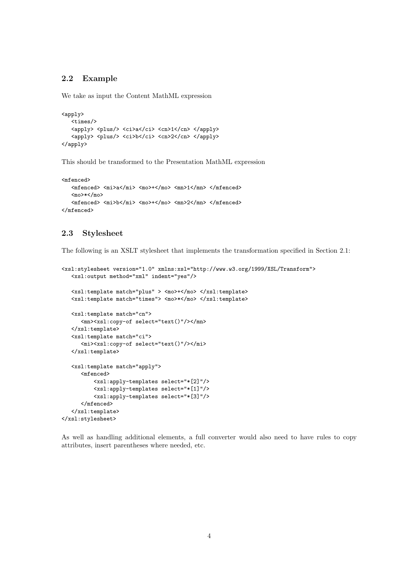#### 2.2 Example

We take as input the Content MathML expression

```
<apply>
  <times/>
  <apply> <plus/> <ci>a</ci> <cn>1</cn> </apply>
   <apply> <plus/> <ci>b</ci> <cn>2</cn> </apply>
</apply>
```
This should be transformed to the Presentation MathML expression

```
<mfenced>
  <mfenced> <mi>a</mi> <mo>+</mo> <mn>1</mn> </mfenced>
  <mo>*</mo>
   <mfenced> <mi>b</mi> <mo>+</mo> <mn>2</mn> </mfenced>
</mfenced>
```
#### 2.3 Stylesheet

The following is an XSLT stylesheet that implements the transformation specified in Section 2.1:

```
<xsl:stylesheet version="1.0" xmlns:xsl="http://www.w3.org/1999/XSL/Transform">
  <xsl:output method="xml" indent="yes"/>
  <xsl:template match="plus" > <mo>+</mo> </xsl:template>
   <xsl:template match="times"> <mo>*</mo> </xsl:template>
  <xsl:template match="cn">
     <mn><xsl:copy-of select="text()"/></mn>
  </xsl:template>
   <xsl:template match="ci">
     <mi><xsl:copy-of select="text()"/></mi>
  </xsl:template>
  <xsl:template match="apply">
      <mfenced>
          <xsl:apply-templates select="*[2]"/>
          <xsl:apply-templates select="*[1]"/>
          <xsl:apply-templates select="*[3]"/>
      </mfenced>
   </xsl:template>
</xsl:stylesheet>
```
As well as handling additional elements, a full converter would also need to have rules to copy attributes, insert parentheses where needed, etc.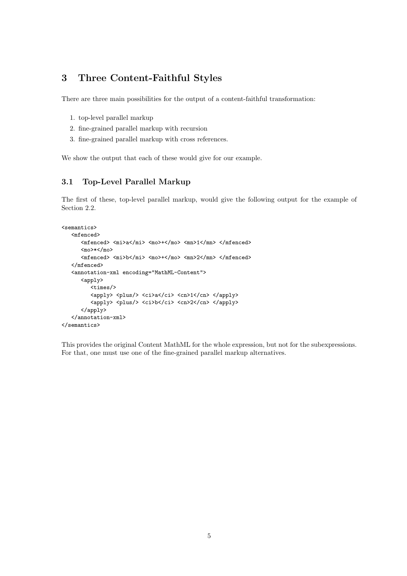## 3 Three Content-Faithful Styles

There are three main possibilities for the output of a content-faithful transformation:

- 1. top-level parallel markup
- 2. fine-grained parallel markup with recursion
- 3. fine-grained parallel markup with cross references.

We show the output that each of these would give for our example.

### 3.1 Top-Level Parallel Markup

The first of these, top-level parallel markup, would give the following output for the example of Section 2.2.

```
<semantics>
  <mfenced>
      <mfenced> <mi>a</mi> <mo>+</mo> <mn>1</mn> </mfenced>
      <mo>*</mo>
      <mfenced> <mi>b</mi> <mo>+</mo> <mn>2</mn> </mfenced>
   </mfenced>
   <annotation-xml encoding="MathML-Content">
      <apply>
         <times/>
         <apply> <plus/> <ci>a</ci> <cn>1</cn> </apply>
         <apply> <plus/> <ci>b</ci> <cn>2</cn> </apply>
      </apply>
   </annotation-xml>
</semantics>
```
This provides the original Content MathML for the whole expression, but not for the subexpressions. For that, one must use one of the fine-grained parallel markup alternatives.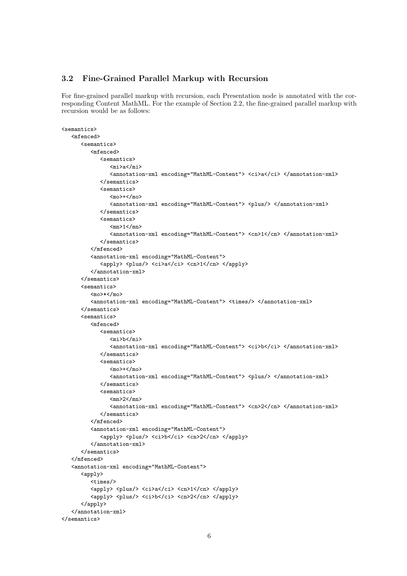#### 3.2 Fine-Grained Parallel Markup with Recursion

For fine-grained parallel markup with recursion, each Presentation node is annotated with the corresponding Content MathML. For the example of Section 2.2, the fine-grained parallel markup with recursion would be as follows:

```
<semantics>
   <mfenced>
      <semantics>
         <mfenced>
             <semantics>
                <sub>mi</sub> > a < /mi</sub></sub>
                <annotation-xml encoding="MathML-Content"> <ci>a</ci> </annotation-xml>
             </semantics>
             <semantics>
                <sub>mo</sub> < /mo></sub>
                <annotation-xml encoding="MathML-Content"> <plus/> </annotation-xml>
             </semantics>
             <semantics>
                <sub>mn</sub>>1</sub></>mn</sub>
                <annotation-xml encoding="MathML-Content"> <cn>1</cn> </annotation-xml>
             </semantics>
         </mfenced>
          <annotation-xml encoding="MathML-Content">
             <apply> <plus/> <ci>a</ci> <cn>1</cn> </apply>
          </annotation-xml>
      </semantics>
      <semantics>
         <mo>*/mo>
         <annotation-xml encoding="MathML-Content"> <times/> </annotation-xml>
      </semantics>
      <semantics>
         <mfenced>
            <semantics>
                <mi>b</mi>
                <annotation-xml encoding="MathML-Content"> <ci>b</ci> </annotation-xml>
            </semantics>
             <semantics>
                <mo>+</mo>
                <annotation-xml encoding="MathML-Content"> <plus/> </annotation-xml>
             </semantics>
             <semantics>
                <mn>2</mn>
                <annotation-xml encoding="MathML-Content"> <cn>2</cn> </annotation-xml>
            </semantics>
         </mfenced>
          <annotation-xml encoding="MathML-Content">
            <apply> <plus/> <ci>b</ci> <cn>2</cn> </apply>
         \frac{2}{\tan \theta}</semantics>
   </mfenced>
   <annotation-xml encoding="MathML-Content">
      <apply>
         <times/>
         <apply> <plus/> <ci>a</ci> <cn>1</cn> </apply>
         <apply> <plus/> <ci>b</ci> <cn>2</cn> </apply>
      </apply>
   </annotation-xml>
</semantics>
```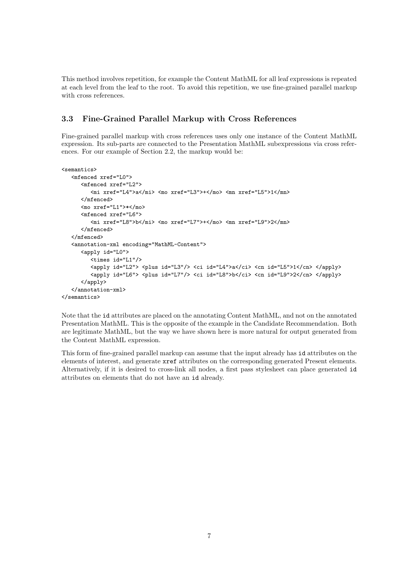This method involves repetition, for example the Content MathML for all leaf expressions is repeated at each level from the leaf to the root. To avoid this repetition, we use fine-grained parallel markup with cross references.

#### 3.3 Fine-Grained Parallel Markup with Cross References

Fine-grained parallel markup with cross references uses only one instance of the Content MathML expression. Its sub-parts are connected to the Presentation MathML subexpressions via cross references. For our example of Section 2.2, the markup would be:

```
<semantics>
   <mfenced xref="L0">
      <mfenced xref="L2">
         <mi xref="L4">a</mi> <mo xref="L3">+</mo> <mn xref="L5">1</mn>
      </mfenced>
      <mo xref="L1">*</mo>
      <mfenced xref="L6">
         <mi xref="L8">b</mi> <mo xref="L7">+</mo> <mn xref="L9">2</mn>
      </mfenced>
  </mfenced>
   <annotation-xml encoding="MathML-Content">
      <apply id="L0">
         <times id="L1"/>
         \langleapply id="L2"> \langleplus id="L3"/> \langleci id="L4">a\langle/ci> \langlecn id="L5">1</cn> \langle/apply>
         <apply id="L6"> <plus id="L7"/> <ci id="L8">b</ci> <cn id="L9">2</cn> </apply>
      </apply>
   </annotation-xml>
</semantics>
```
Note that the id attributes are placed on the annotating Content MathML, and not on the annotated Presentation MathML. This is the opposite of the example in the Candidate Recommendation. Both are legitimate MathML, but the way we have shown here is more natural for output generated from the Content MathML expression.

This form of fine-grained parallel markup can assume that the input already has id attributes on the elements of interest, and generate xref attributes on the corresponding generated Present elements. Alternatively, if it is desired to cross-link all nodes, a first pass stylesheet can place generated id attributes on elements that do not have an id already.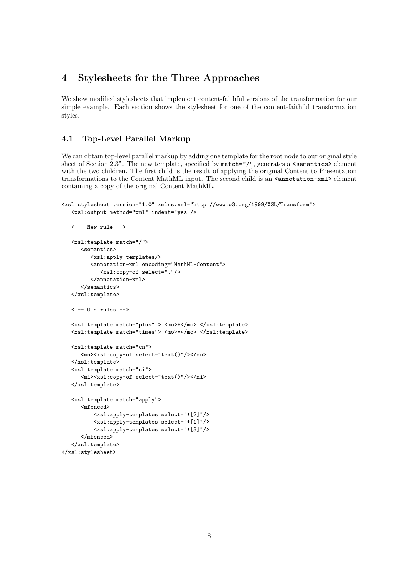## 4 Stylesheets for the Three Approaches

We show modified stylesheets that implement content-faithful versions of the transformation for our simple example. Each section shows the stylesheet for one of the content-faithful transformation styles.

### 4.1 Top-Level Parallel Markup

We can obtain top-level parallel markup by adding one template for the root node to our original style sheet of Section 2.3". The new template, specified by  $match="/",$  generates a  $\leq$  semantics> element with the two children. The first child is the result of applying the original Content to Presentation transformations to the Content MathML input. The second child is an  $\zeta$  annotation-xml> element containing a copy of the original Content MathML.

```
<xsl:stylesheet version="1.0" xmlns:xsl="http://www.w3.org/1999/XSL/Transform">
   <xsl:output method="xml" indent="yes"/>
```

```
\langle!-- New rule -->
   <xsl:template match="/">
      <semantics>
         <xsl:apply-templates/>
         <annotation-xml encoding="MathML-Content">
            <xsl:copy-of select="."/>
         </annotation-xml>
      </semantics>
  </xsl:template>
  \langle!-- Old rules -->
  <xsl:template match="plus" > <mo>+</mo> </xsl:template>
  <xsl:template match="times"> <mo>*</mo> </xsl:template>
  <xsl:template match="cn">
      <mn><xsl:copy-of select="text()"/></mn>
   </xsl:template>
   <xsl:template match="ci">
      <mi><xsl:copy-of select="text()"/></mi>
   </xsl:template>
  <xsl:template match="apply">
      <mfenced>
          <xsl:apply-templates select="*[2]"/>
          <xsl:apply-templates select="*[1]"/>
          <xsl:apply-templates select="*[3]"/>
      </mfenced>
   </xsl:template>
</xsl:stylesheet>
```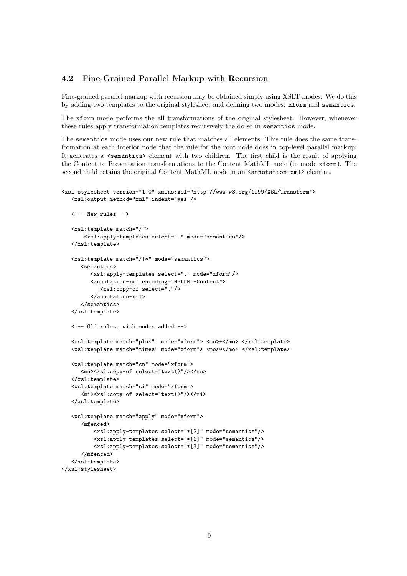#### 4.2 Fine-Grained Parallel Markup with Recursion

Fine-grained parallel markup with recursion may be obtained simply using XSLT modes. We do this by adding two templates to the original stylesheet and defining two modes: xform and semantics.

The xform mode performs the all transformations of the original stylesheet. However, whenever these rules apply transformation templates recursively the do so in semantics mode.

The semantics mode uses our new rule that matches all elements. This rule does the same transformation at each interior node that the rule for the root node does in top-level parallel markup: It generates a **semantics** element with two children. The first child is the result of applying the Content to Presentation transformations to the Content MathML node (in mode xform). The second child retains the original Content MathML node in an  $\alpha$  annotation-xml> element.

```
<xsl:stylesheet version="1.0" xmlns:xsl="http://www.w3.org/1999/XSL/Transform">
   <xsl:output method="xml" indent="yes"/>
  \langle!-- New rules -->
   <xsl:template match="/">
       <xsl:apply-templates select="." mode="semantics"/>
   </xsl:template>
   <xsl:template match="/|*" mode="semantics">
      <semantics>
         <xsl:apply-templates select="." mode="xform"/>
         <annotation-xml encoding="MathML-Content">
            <xsl:copy-of select="."/>
         </annotation-xml>
      </semantics>
   </xsl:template>
  <!-- Old rules, with modes added -->
   <xsl:template match="plus" mode="xform"> <mo>+</mo> </xsl:template>
   <xsl:template match="times" mode="xform"> <mo>*</mo> </xsl:template>
   <xsl:template match="cn" mode="xform">
      <mn><xsl:copy-of select="text()"/></mn>
   </xsl:template>
   <xsl:template match="ci" mode="xform">
      <mi><xsl:copy-of select="text()"/></mi>
   </xsl:template>
   <xsl:template match="apply" mode="xform">
      <mfenced>
          <xsl:apply-templates select="*[2]" mode="semantics"/>
          <xsl:apply-templates select="*[1]" mode="semantics"/>
          <xsl:apply-templates select="*[3]" mode="semantics"/>
      </mfenced>
   </xsl:template>
</xsl:stylesheet>
```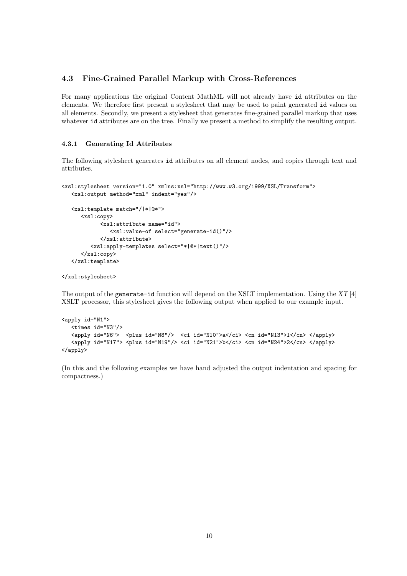#### 4.3 Fine-Grained Parallel Markup with Cross-References

For many applications the original Content MathML will not already have id attributes on the elements. We therefore first present a stylesheet that may be used to paint generated id values on all elements. Secondly, we present a stylesheet that generates fine-grained parallel markup that uses whatever id attributes are on the tree. Finally we present a method to simplify the resulting output.

#### 4.3.1 Generating Id Attributes

The following stylesheet generates id attributes on all element nodes, and copies through text and attributes.

```
<xsl:stylesheet version="1.0" xmlns:xsl="http://www.w3.org/1999/XSL/Transform">
   <xsl:output method="xml" indent="yes"/>
  <xsl:template match="/|*|@*">
      <xsl:copy>
            <xsl:attribute name="id">
               <xsl:value-of select="generate-id()"/>
            </xsl:attribute>
         <xsl:apply-templates select="*|@*|text()"/>
      </xsl:copy>
   </xsl:template>
```

```
</xsl:stylesheet>
```
The output of the generate-id function will depend on the XSLT implementation. Using the  $XT[4]$ XSLT processor, this stylesheet gives the following output when applied to our example input.

```
<apply id="N1">
  <times id="N3"/>
  <apply id="N6"> <plus id="N8"/> <ci id="N10">a</ci> <cn id="N13">1</cn> </apply>
   <apply id="N17"> <plus id="N19"/> <ci id="N21">b</ci> <cn id="N24">2</cn> </apply>
</apply>
```
(In this and the following examples we have hand adjusted the output indentation and spacing for compactness.)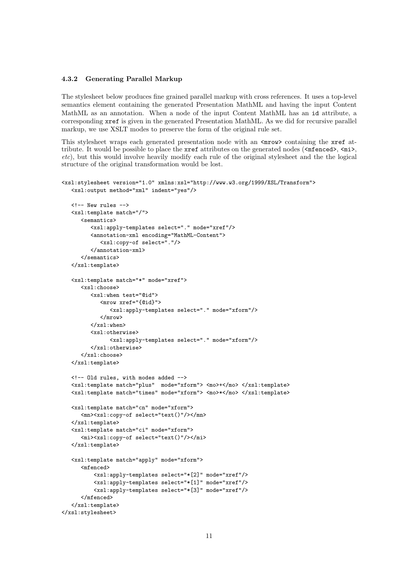#### 4.3.2 Generating Parallel Markup

The stylesheet below produces fine grained parallel markup with cross references. It uses a top-level semantics element containing the generated Presentation MathML and having the input Content MathML as an annotation. When a node of the input Content MathML has an id attribute, a corresponding xref is given in the generated Presentation MathML. As we did for recursive parallel markup, we use XSLT modes to preserve the form of the original rule set.

This stylesheet wraps each generated presentation node with an  $\langle m \rangle$  containing the xref attribute. It would be possible to place the  $xref$  attributes on the generated nodes ( $\langle \text{mfenced}\rangle$ ,  $\langle \text{mi}\rangle$ , etc), but this would involve heavily modify each rule of the original stylesheet and the the logical structure of the original transformation would be lost.

```
<xsl:stylesheet version="1.0" xmlns:xsl="http://www.w3.org/1999/XSL/Transform">
   <xsl:output method="xml" indent="yes"/>
  \left\langle \cdot \right\rangle -- New rules -->
   <xsl:template match="/">
      <semantics>
         <xsl:apply-templates select="." mode="xref"/>
         <annotation-xml encoding="MathML-Content">
            <xsl:copy-of select="."/>
         </annotation-xml>
      </semantics>
   </xsl:template>
   <xsl:template match="*" mode="xref">
      <xsl:choose>
         <xsl:when test="@id">
            <mrow xref="{@id}">
               <xsl:apply-templates select="." mode="xform"/>
            </mrow>
         </xsl:when>
         <xsl:otherwise>
               <xsl:apply-templates select="." mode="xform"/>
         </xsl:otherwise>
      </xsl:choose>
   </xsl:template>
  <!-- Old rules, with modes added -->
   <xsl:template match="plus" mode="xform"> <mo>+</mo> </xsl:template>
   <xsl:template match="times" mode="xform"> <mo>*</mo> </xsl:template>
   <xsl:template match="cn" mode="xform">
      <mn><xsl:copy-of select="text()"/></mn>
   </xsl:template>
   <xsl:template match="ci" mode="xform">
      <mi><xsl:copy-of select="text()"/></mi>
   </xsl:template>
   <xsl:template match="apply" mode="xform">
      <mfenced>
          <xsl:apply-templates select="*[2]" mode="xref"/>
          <xsl:apply-templates select="*[1]" mode="xref"/>
          <xsl:apply-templates select="*[3]" mode="xref"/>
      </mfenced>
   </xsl:template>
</xsl:stylesheet>
```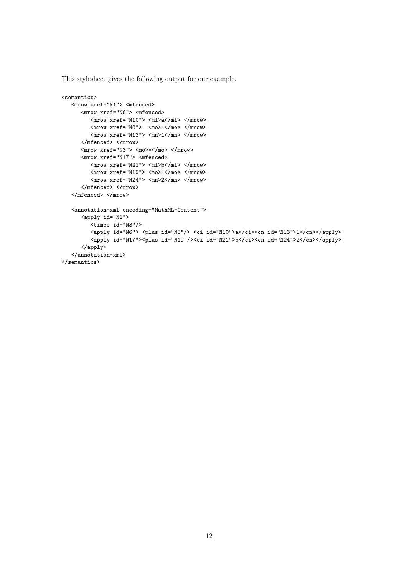This stylesheet gives the following output for our example.

```
<semantics>
   <mrow xref="N1"> <mfenced>
      <mrow xref="N6"> <mfenced>
         <mrow xref="N10"> <mi>a</mi> </mrow>
         <mrow xref="N8"> <mo>+</mo> </mrow>
         <mrow xref="N13"> <mn>1</mn> </mrow>
      </mfenced> </mrow>
      <mrow xref="N3"> <mo>*</mo> </mrow>
      <mrow xref="N17"> <mfenced>
         <mrow xref="N21"> <mi>b</mi> </mrow>
         <mrow xref="N19"> <mo>+</mo> </mrow>
         \langle mrow \; xref="N24" > \langle mn>2\langle mn> \; \langle mrow \rangle\langle/mfenced> \langle/mrow>
   </mfenced> </mrow>
   <annotation-xml encoding="MathML-Content">
      <apply id="N1">
         <times id="N3"/>
         <apply id="N6"> <plus id="N8"/> <ci id="N10">a</ci><cn id="N13">1</cn></apply>
         <apply id="N17"><plus id="N19"/><ci id="N21">b</ci><cn id="N24">2</cn></apply>
      </apply>
   </annotation-xml>
\langle/semantics>
```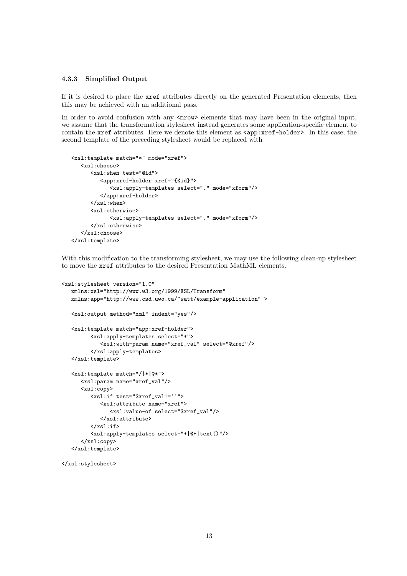#### 4.3.3 Simplified Output

If it is desired to place the xref attributes directly on the generated Presentation elements, then this may be achieved with an additional pass.

In order to avoid confusion with any  $\langle m \rangle$  elements that may have been in the original input, we assume that the transformation stylesheet instead generates some application-specific element to contain the xref attributes. Here we denote this element as  $\langle app: xref-holder \rangle$ . In this case, the second template of the preceding stylesheet would be replaced with

```
<xsl:template match="*" mode="xref">
   <xsl:choose>
      <xsl:when test="@id">
         <app:xref-holder xref="{@id}">
            <xsl:apply-templates select="." mode="xform"/>
         </app:xref-holder>
      </xsl:when>
      <xsl:otherwise>
            <xsl:apply-templates select="." mode="xform"/>
      </xsl:otherwise>
   </xsl:choose>
</xsl:template>
```
With this modification to the transforming stylesheet, we may use the following clean-up stylesheet to move the xref attributes to the desired Presentation MathML elements.

```
<xsl:stylesheet version="1.0"
  xmlns:xsl="http://www.w3.org/1999/XSL/Transform"
  xmlns:app="http://www.csd.uwo.ca/~watt/example-application" >
  <xsl:output method="xml" indent="yes"/>
  <xsl:template match="app:xref-holder">
         <xsl:apply-templates select="*">
            <xsl:with-param name="xref_val" select="@xref"/>
         </xsl:apply-templates>
  </xsl:template>
  <xsl:template match="/|*|@*">
      <xsl:param name="xref_val"/>
      <xsl:copy>
         <xsl:if test="$xref_val!=''">
            <xsl:attribute name="xref">
               <xsl:value-of select="$xref_val"/>
            </xsl:attribute>
         \langle xsl:if>
         <xsl:apply-templates select="*|@*|text()"/>
      </xsl:copy>
  </xsl:template>
```
</xsl:stylesheet>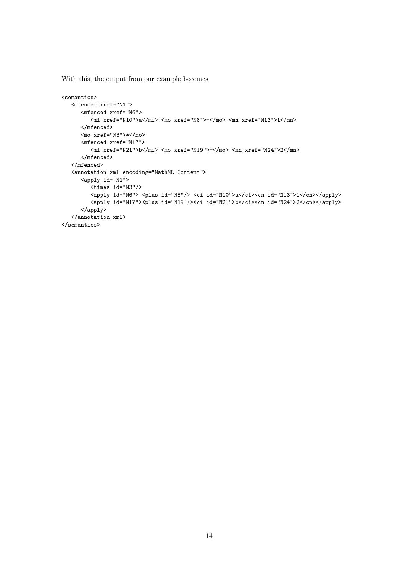With this, the output from our example becomes

```
<semantics>
   <mfenced xref="N1">
     <mfenced xref="N6">
         <mi xref="N10">a</mi> <mo xref="N8">+</mo> <mn xref="N13">1</mn>
     </mfenced>
     <mo xref="N3">*</mo>
      <mfenced xref="N17">
         <mi xref="N21">b</mi> <mo xref="N19">+</mo> <mn xref="N24">2</mn>
      </mfenced>
   </mfenced>
   <annotation-xml encoding="MathML-Content">
      <apply id="N1">
         <times id="N3"/>
         <apply id="N6"> <plus id="N8"/> <ci id="N10">a</ci><cn id="N13">1</cn></apply>
         <apply id="N17"><plus id="N19"/><ci id="N21">b</ci><cn id="N24">2</cn></apply>
      </apply>
   </annotation-xml>
</semantics>
```